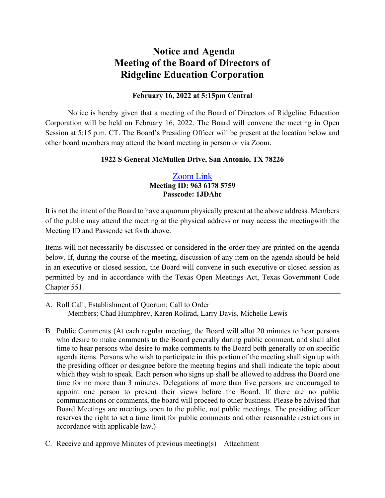## **Notice and Agenda Meeting of the Board of Directors of Ridgeline Education Corporation**

## **February 16, 2022 at 5:15pm Central**

Notice is hereby given that a meeting of the Board of Directors of Ridgeline Education Corporation will be held on February 16, 2022. The Board will convene the meeting in Open Session at 5:15 p.m. CT. The Board's Presiding Officer will be present at the location below and other board members may attend the board meeting in person or via Zoom.

## **1922 S General McMullen Drive, San Antonio, TX 78226**

## [Zoom](https://zoom.us/j/96361785759?pwd=UTZxMWU0Q21TalRJQXNhclFObUFWQT09) Link **Meeting ID: 963 6178 5759 Passcode: 1JDAhc**

It is not the intent of the Board to have a quorum physically present at the above address. Members of the public may attend the meeting at the physical address or may access the meetingwith the Meeting ID and Passcode set forth above.

Items will not necessarily be discussed or considered in the order they are printed on the agenda below. If, during the course of the meeting, discussion of any item on the agenda should be held in an executive or closed session, the Board will convene in such executive or closed session as permitted by and in accordance with the Texas Open Meetings Act, Texas Government Code Chapter 551.

- A. Roll Call; Establishment of Quorum; Call to Order Members: Chad Humphrey, Karen Rolirad, Larry Davis, Michelle Lewis
- B. Public Comments (At each regular meeting, the Board will allot 20 minutes to hear persons who desire to make comments to the Board generally during public comment, and shall allot time to hear persons who desire to make comments to the Board both generally or on specific agenda items. Persons who wish to participate in this portion of the meeting shall sign up with the presiding officer or designee before the meeting begins and shall indicate the topic about which they wish to speak. Each person who signs up shall be allowed to address the Board one time for no more than 3 minutes. Delegations of more than five persons are encouraged to appoint one person to present their views before the Board. If there are no public communications or comments, the board will proceed to other business. Please be advised that Board Meetings are meetings open to the public, not public meetings. The presiding officer reserves the right to set a time limit for public comments and other reasonable restrictions in accordance with applicable law.)
- C. Receive and approve Minutes of previous meeting(s) Attachment